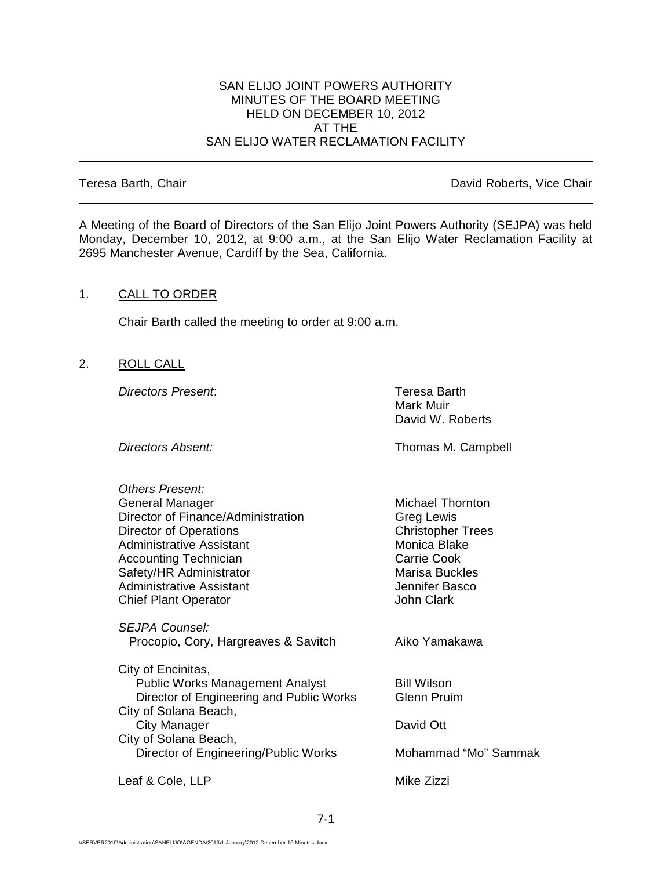#### SAN ELIJO JOINT POWERS AUTHORITY MINUTES OF THE BOARD MEETING HELD ON DECEMBER 10, 2012 AT THE SAN ELIJO WATER RECLAMATION FACILITY

Teresa Barth, Chair **David Roberts**, Vice Chair

A Meeting of the Board of Directors of the San Elijo Joint Powers Authority (SEJPA) was held Monday, December 10, 2012, at 9:00 a.m., at the San Elijo Water Reclamation Facility at 2695 Manchester Avenue, Cardiff by the Sea, California.

### 1. CALL TO ORDER

Chair Barth called the meeting to order at 9:00 a.m.

2. ROLL CALL

*Directors Present*: Teresa Barth

Mark Muir David W. Roberts

**Directors Absent:** Thomas M. Campbell

| <b>Others Present:</b>                   |                          |
|------------------------------------------|--------------------------|
| <b>General Manager</b>                   | Michael Thornton         |
| Director of Finance/Administration       | Greg Lewis               |
| Director of Operations                   | <b>Christopher Trees</b> |
| Administrative Assistant                 | Monica Blake             |
| <b>Accounting Technician</b>             | <b>Carrie Cook</b>       |
| Safety/HR Administrator                  | <b>Marisa Buckles</b>    |
| Administrative Assistant                 | Jennifer Basco           |
| <b>Chief Plant Operator</b>              | <b>John Clark</b>        |
| SEJPA Counsel:                           |                          |
| Procopio, Cory, Hargreaves & Savitch     | Aiko Yamakawa            |
| City of Encinitas,                       |                          |
| <b>Public Works Management Analyst</b>   | <b>Bill Wilson</b>       |
| Director of Engineering and Public Works | <b>Glenn Pruim</b>       |
| City of Solana Beach,                    |                          |
| City Manager                             | David Ott                |
| City of Solana Beach,                    |                          |
| Director of Engineering/Public Works     | Mohammad "Mo" Sammak     |
| Leaf & Cole, LLP                         | Mike Zizzi               |
|                                          |                          |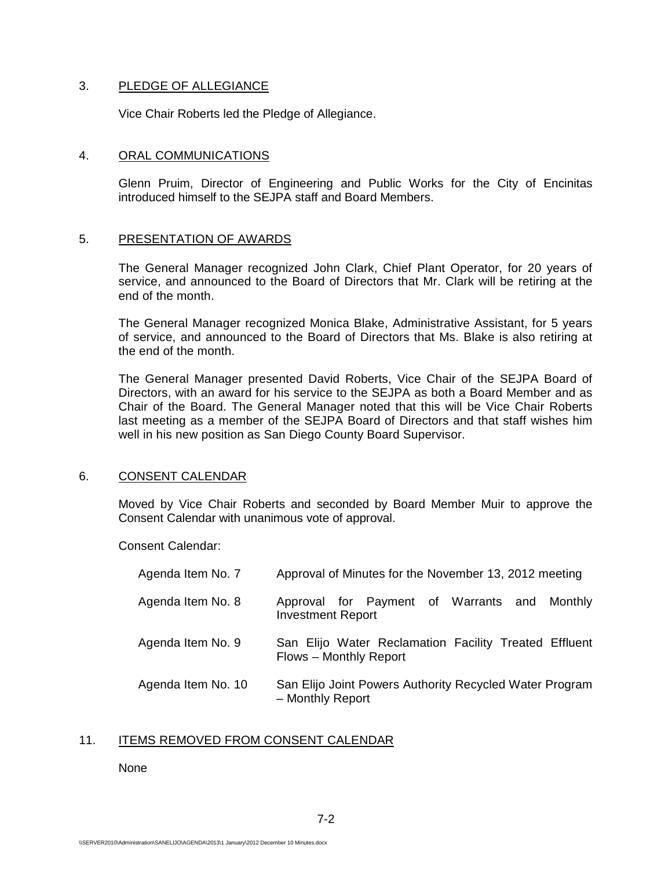#### 3. PLEDGE OF ALLEGIANCE

Vice Chair Roberts led the Pledge of Allegiance.

#### 4. ORAL COMMUNICATIONS

Glenn Pruim, Director of Engineering and Public Works for the City of Encinitas introduced himself to the SEJPA staff and Board Members.

### 5. PRESENTATION OF AWARDS

The General Manager recognized John Clark, Chief Plant Operator, for 20 years of service, and announced to the Board of Directors that Mr. Clark will be retiring at the end of the month.

The General Manager recognized Monica Blake, Administrative Assistant, for 5 years of service, and announced to the Board of Directors that Ms. Blake is also retiring at the end of the month.

The General Manager presented David Roberts, Vice Chair of the SEJPA Board of Directors, with an award for his service to the SEJPA as both a Board Member and as Chair of the Board. The General Manager noted that this will be Vice Chair Roberts last meeting as a member of the SEJPA Board of Directors and that staff wishes him well in his new position as San Diego County Board Supervisor.

# 6. CONSENT CALENDAR

Moved by Vice Chair Roberts and seconded by Board Member Muir to approve the Consent Calendar with unanimous vote of approval.

Consent Calendar:

| Agenda Item No. 7  | Approval of Minutes for the November 13, 2012 meeting                           |
|--------------------|---------------------------------------------------------------------------------|
| Agenda Item No. 8  | Approval for Payment of Warrants and Monthly<br><b>Investment Report</b>        |
| Agenda Item No. 9  | San Elijo Water Reclamation Facility Treated Effluent<br>Flows - Monthly Report |
| Agenda Item No. 10 | San Elijo Joint Powers Authority Recycled Water Program<br>- Monthly Report     |

# 11. ITEMS REMOVED FROM CONSENT CALENDAR

None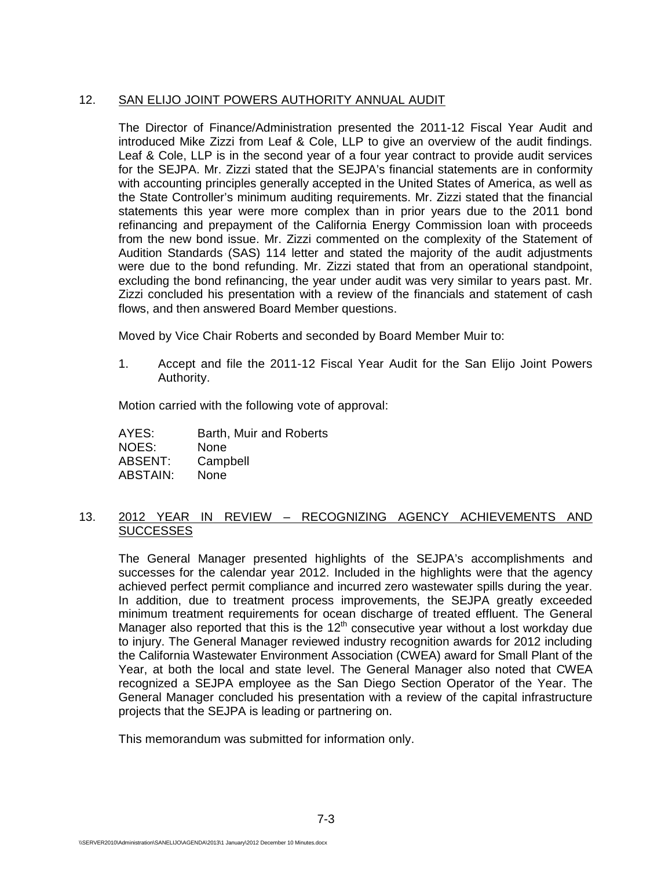# 12. SAN ELIJO JOINT POWERS AUTHORITY ANNUAL AUDIT

The Director of Finance/Administration presented the 2011-12 Fiscal Year Audit and introduced Mike Zizzi from Leaf & Cole, LLP to give an overview of the audit findings. Leaf & Cole, LLP is in the second year of a four year contract to provide audit services for the SEJPA. Mr. Zizzi stated that the SEJPA's financial statements are in conformity with accounting principles generally accepted in the United States of America, as well as the State Controller's minimum auditing requirements. Mr. Zizzi stated that the financial statements this year were more complex than in prior years due to the 2011 bond refinancing and prepayment of the California Energy Commission loan with proceeds from the new bond issue. Mr. Zizzi commented on the complexity of the Statement of Audition Standards (SAS) 114 letter and stated the majority of the audit adjustments were due to the bond refunding. Mr. Zizzi stated that from an operational standpoint, excluding the bond refinancing, the year under audit was very similar to years past. Mr. Zizzi concluded his presentation with a review of the financials and statement of cash flows, and then answered Board Member questions.

Moved by Vice Chair Roberts and seconded by Board Member Muir to:

1. Accept and file the 2011-12 Fiscal Year Audit for the San Elijo Joint Powers Authority.

Motion carried with the following vote of approval:

AYES: Barth, Muir and Roberts NOES: None ABSENT: Campbell ABSTAIN: None

### 13. 2012 YEAR IN REVIEW – RECOGNIZING AGENCY ACHIEVEMENTS AND **SUCCESSES**

The General Manager presented highlights of the SEJPA's accomplishments and successes for the calendar year 2012. Included in the highlights were that the agency achieved perfect permit compliance and incurred zero wastewater spills during the year. In addition, due to treatment process improvements, the SEJPA greatly exceeded minimum treatment requirements for ocean discharge of treated effluent. The General Manager also reported that this is the  $12<sup>th</sup>$  consecutive year without a lost workday due to injury. The General Manager reviewed industry recognition awards for 2012 including the California Wastewater Environment Association (CWEA) award for Small Plant of the Year, at both the local and state level. The General Manager also noted that CWEA recognized a SEJPA employee as the San Diego Section Operator of the Year. The General Manager concluded his presentation with a review of the capital infrastructure projects that the SEJPA is leading or partnering on.

This memorandum was submitted for information only.